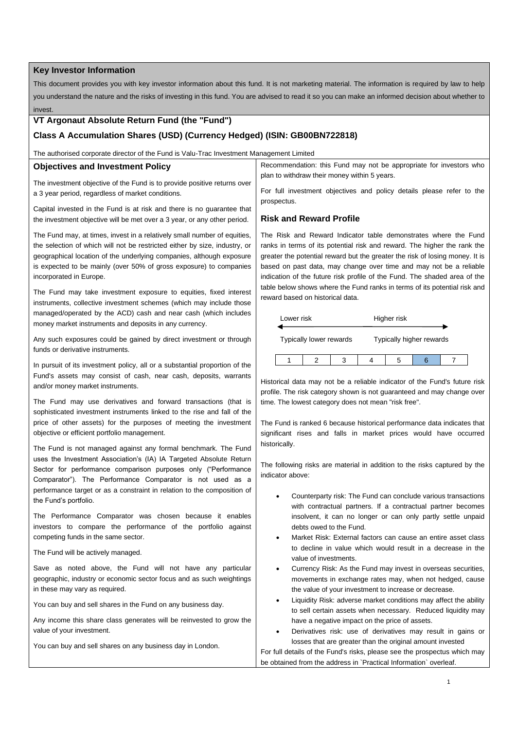### **Key Investor Information**

This document provides you with key investor information about this fund. It is not marketing material. The information is required by law to help you understand the nature and the risks of investing in this fund. You are advised to read it so you can make an informed decision about whether to invest.

# **VT Argonaut Absolute Return Fund (the "Fund")**

## **Class A Accumulation Shares (USD) (Currency Hedged) (ISIN: GB00BN722818)**

The authorised corporate director of the Fund is Valu-Trac Investment Management Limited

#### **Objectives and Investment Policy**

The investment objective of the Fund is to provide positive returns over a 3 year period, regardless of market conditions.

Capital invested in the Fund is at risk and there is no guarantee that the investment objective will be met over a 3 year, or any other period.

The Fund may, at times, invest in a relatively small number of equities, the selection of which will not be restricted either by size, industry, or geographical location of the underlying companies, although exposure is expected to be mainly (over 50% of gross exposure) to companies incorporated in Europe.

The Fund may take investment exposure to equities, fixed interest instruments, collective investment schemes (which may include those managed/operated by the ACD) cash and near cash (which includes money market instruments and deposits in any currency.

Any such exposures could be gained by direct investment or through funds or derivative instruments.

In pursuit of its investment policy, all or a substantial proportion of the Fund's assets may consist of cash, near cash, deposits, warrants and/or money market instruments.

The Fund may use derivatives and forward transactions (that is sophisticated investment instruments linked to the rise and fall of the price of other assets) for the purposes of meeting the investment objective or efficient portfolio management.

The Fund is not managed against any formal benchmark. The Fund uses the Investment Association's (IA) IA Targeted Absolute Return Sector for performance comparison purposes only ("Performance Comparator"). The Performance Comparator is not used as a performance target or as a constraint in relation to the composition of the Fund's portfolio.

The Performance Comparator was chosen because it enables investors to compare the performance of the portfolio against competing funds in the same sector.

The Fund will be actively managed.

Save as noted above, the Fund will not have any particular geographic, industry or economic sector focus and as such weightings in these may vary as required.

You can buy and sell shares in the Fund on any business day.

Any income this share class generates will be reinvested to grow the value of your investment.

You can buy and sell shares on any business day in London.

Recommendation: this Fund may not be appropriate for investors who plan to withdraw their money within 5 years.

For full investment objectives and policy details please refer to the prospectus.

#### **Risk and Reward Profile**

The Risk and Reward Indicator table demonstrates where the Fund ranks in terms of its potential risk and reward. The higher the rank the greater the potential reward but the greater the risk of losing money. It is based on past data, may change over time and may not be a reliable indication of the future risk profile of the Fund. The shaded area of the table below shows where the Fund ranks in terms of its potential risk and reward based on historical data.



Historical data may not be a reliable indicator of the Fund's future risk profile. The risk category shown is not guaranteed and may change over time. The lowest category does not mean "risk free".

The Fund is ranked 6 because historical performance data indicates that significant rises and falls in market prices would have occurred historically.

The following risks are material in addition to the risks captured by the indicator above:

- Counterparty risk: The Fund can conclude various transactions with contractual partners. If a contractual partner becomes insolvent, it can no longer or can only partly settle unpaid debts owed to the Fund.
- Market Risk: External factors can cause an entire asset class to decline in value which would result in a decrease in the value of investments.
- Currency Risk: As the Fund may invest in overseas securities, movements in exchange rates may, when not hedged, cause the value of your investment to increase or decrease.
- Liquidity Risk: adverse market conditions may affect the ability to sell certain assets when necessary. Reduced liquidity may have a negative impact on the price of assets.
- Derivatives risk: use of derivatives may result in gains or losses that are greater than the original amount invested

For full details of the Fund's risks, please see the prospectus which may be obtained from the address in `Practical Information` overleaf.